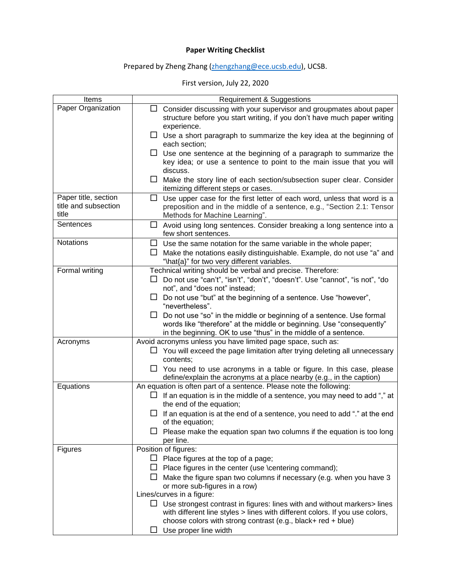## **Paper Writing Checklist**

## Prepared by Zheng Zhang [\(zhengzhang@ece.ucsb.edu\)](mailto:zhengzhang@ece.ucsb.edu), UCSB.

## First version, July 22, 2020

| Items                                                 | <b>Requirement &amp; Suggestions</b>                                                                                                                                                                                                                                                                                                                                                                                                                                                                                       |
|-------------------------------------------------------|----------------------------------------------------------------------------------------------------------------------------------------------------------------------------------------------------------------------------------------------------------------------------------------------------------------------------------------------------------------------------------------------------------------------------------------------------------------------------------------------------------------------------|
| Paper Organization                                    | Consider discussing with your supervisor and groupmates about paper<br>ப<br>structure before you start writing, if you don't have much paper writing<br>experience.                                                                                                                                                                                                                                                                                                                                                        |
|                                                       | Use a short paragraph to summarize the key idea at the beginning of<br>ப<br>each section;                                                                                                                                                                                                                                                                                                                                                                                                                                  |
|                                                       | Use one sentence at the beginning of a paragraph to summarize the<br>⊔<br>key idea; or use a sentence to point to the main issue that you will<br>discuss.                                                                                                                                                                                                                                                                                                                                                                 |
|                                                       | Make the story line of each section/subsection super clear. Consider<br>itemizing different steps or cases.                                                                                                                                                                                                                                                                                                                                                                                                                |
| Paper title, section<br>title and subsection<br>title | $\Box$<br>Use upper case for the first letter of each word, unless that word is a<br>preposition and in the middle of a sentence, e.g., "Section 2.1: Tensor<br>Methods for Machine Learning".                                                                                                                                                                                                                                                                                                                             |
| Sentences                                             | Avoid using long sentences. Consider breaking a long sentence into a<br>$\Box$<br>few short sentences.                                                                                                                                                                                                                                                                                                                                                                                                                     |
| Notations                                             | Use the same notation for the same variable in the whole paper;<br>ப<br>Make the notations easily distinguishable. Example, do not use "a" and<br>$\Box$<br>"\hat{a}" for two very different variables.                                                                                                                                                                                                                                                                                                                    |
| Formal writing                                        | Technical writing should be verbal and precise. Therefore:<br>Do not use "can't", "isn't", "don't", "doesn't". Use "cannot", "is not", "do<br>not", and "does not" instead;<br>$\Box$ Do not use "but" at the beginning of a sentence. Use "however",<br>"nevertheless".<br>Do not use "so" in the middle or beginning of a sentence. Use formal<br>$\Box$<br>words like "therefore" at the middle or beginning. Use "consequently"<br>in the beginning. OK to use "thus" in the middle of a sentence.                     |
| Acronyms                                              | Avoid acronyms unless you have limited page space, such as:<br>$\Box$ You will exceed the page limitation after trying deleting all unnecessary<br>contents;<br>$\Box$ You need to use acronyms in a table or figure. In this case, please<br>define/explain the acronyms at a place nearby (e.g., in the caption)                                                                                                                                                                                                         |
| Equations                                             | An equation is often part of a sentence. Please note the following:<br>If an equation is in the middle of a sentence, you may need to add "," at<br>the end of the equation;<br>If an equation is at the end of a sentence, you need to add "." at the end<br>of the equation;<br>Please make the equation span two columns if the equation is too long<br>per line.                                                                                                                                                       |
| <b>Figures</b>                                        | Position of figures:<br>Place figures at the top of a page;<br>ப<br>Place figures in the center (use \centering command);<br>Make the figure span two columns if necessary (e.g. when you have 3<br>or more sub-figures in a row)<br>Lines/curves in a figure:<br>$\Box$ Use strongest contrast in figures: lines with and without markers> lines<br>with different line styles > lines with different colors. If you use colors,<br>choose colors with strong contrast (e.g., black+ red + blue)<br>Use proper line width |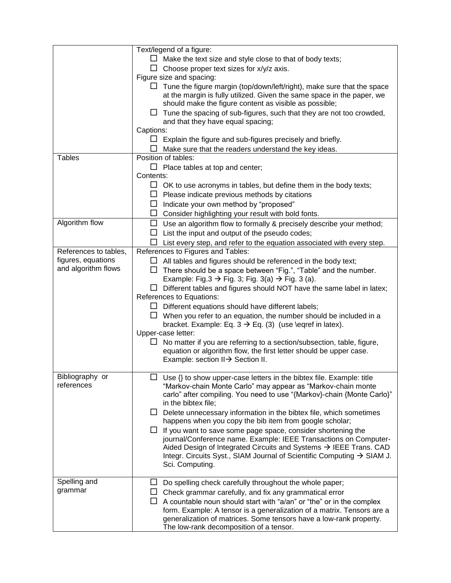|                       | Text/legend of a figure:                                                       |
|-----------------------|--------------------------------------------------------------------------------|
|                       | $\Box$ Make the text size and style close to that of body texts;               |
|                       | $\Box$ Choose proper text sizes for x/y/z axis.                                |
|                       | Figure size and spacing:                                                       |
|                       | $\Box$ Tune the figure margin (top/down/left/right), make sure that the space  |
|                       | at the margin is fully utilized. Given the same space in the paper, we         |
|                       | should make the figure content as visible as possible;                         |
|                       | Tune the spacing of sub-figures, such that they are not too crowded,           |
|                       | and that they have equal spacing;                                              |
|                       | Captions:                                                                      |
|                       | $\Box$ Explain the figure and sub-figures precisely and briefly.               |
|                       | Make sure that the readers understand the key ideas.                           |
| <b>Tables</b>         | Position of tables:                                                            |
|                       | $\Box$ Place tables at top and center;                                         |
|                       | Contents:                                                                      |
|                       | $\Box$ OK to use acronyms in tables, but define them in the body texts;        |
|                       | $\Box$ Please indicate previous methods by citations                           |
|                       |                                                                                |
|                       | $\Box$ Indicate your own method by "proposed"                                  |
|                       | $\Box$ Consider highlighting your result with bold fonts.                      |
| Algorithm flow        | Use an algorithm flow to formally & precisely describe your method;<br>$\Box$  |
|                       | $\Box$ List the input and output of the pseudo codes;                          |
|                       | $\Box$ List every step, and refer to the equation associated with every step.  |
| References to tables, | References to Figures and Tables:                                              |
| figures, equations    | All tables and figures should be referenced in the body text;<br>ப             |
| and algorithm flows   | There should be a space between "Fig.", "Table" and the number.<br>ΙI          |
|                       | Example: Fig.3 $\rightarrow$ Fig. 3; Fig. 3(a) $\rightarrow$ Fig. 3 (a).       |
|                       | Different tables and figures should NOT have the same label in latex;          |
|                       | References to Equations:                                                       |
|                       | $\Box$ Different equations should have different labels;                       |
|                       | When you refer to an equation, the number should be included in a              |
|                       | bracket. Example: Eq. $3 \rightarrow Eq. (3)$ (use \eqref in latex).           |
|                       | Upper-case letter:                                                             |
|                       | No matter if you are referring to a section/subsection, table, figure,<br>ப    |
|                       | equation or algorithm flow, the first letter should be upper case.             |
|                       | Example: section $II \rightarrow$ Section II.                                  |
|                       |                                                                                |
| Bibliography or       | Use {} to show upper-case letters in the bibtex file. Example: title           |
| references            | "Markov-chain Monte Carlo" may appear as "Markov-chain monte                   |
|                       | carlo" after compiling. You need to use "{Markov}-chain {Monte Carlo}"         |
|                       | in the bibtex file;                                                            |
|                       | Delete unnecessary information in the bibtex file, which sometimes<br>ப        |
|                       | happens when you copy the bib item from google scholar;                        |
|                       | If you want to save some page space, consider shortening the<br>ப              |
|                       | journal/Conference name. Example: IEEE Transactions on Computer-               |
|                       | Aided Design of Integrated Circuits and Systems → IEEE Trans. CAD              |
|                       | Integr. Circuits Syst., SIAM Journal of Scientific Computing → SIAM J.         |
|                       | Sci. Computing.                                                                |
|                       |                                                                                |
| Spelling and          | Do spelling check carefully throughout the whole paper;<br>ப                   |
| grammar               | Check grammar carefully, and fix any grammatical error<br>ப                    |
|                       | A countable noun should start with "a/an" or "the" or in the complex<br>$\Box$ |
|                       | form. Example: A tensor is a generalization of a matrix. Tensors are a         |
|                       | generalization of matrices. Some tensors have a low-rank property.             |
|                       | The low-rank decomposition of a tensor.                                        |